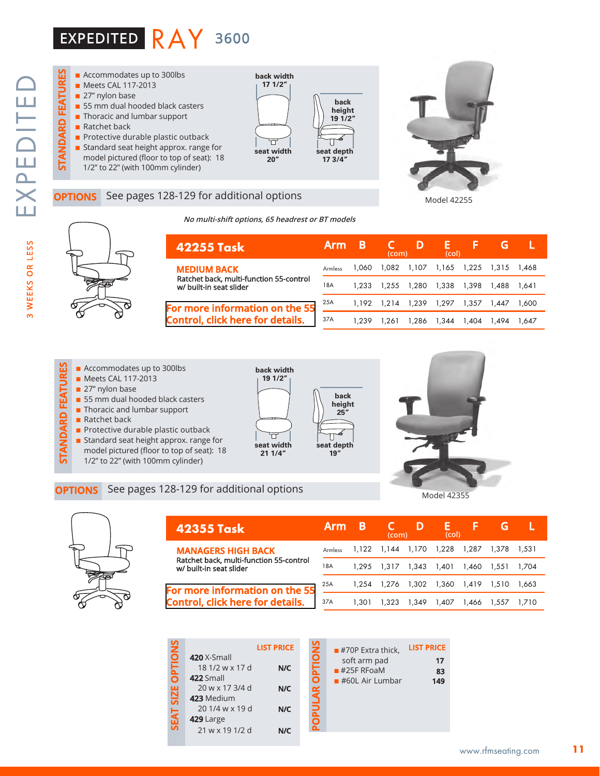



### See pages 128-129 for additional options

**No multi-shift options, 65 headrest or BT models**

**back width 19 1/2"**

**seat width 21 1/4"**





| 42255 Task                                                                               | <b>Arm</b> | B     | (com) | D                 | н.<br>(col) |       | G     |       |
|------------------------------------------------------------------------------------------|------------|-------|-------|-------------------|-------------|-------|-------|-------|
| <b>MEDIUM BACK</b><br>Ratchet back, multi-function 55-control<br>w/ built-in seat slider | Armless    | 1.060 | 1.082 | 1,107 1,165 1,225 |             |       | 1.315 | 1.468 |
|                                                                                          | 18A        | 1.233 | 1.255 | 1.280             | 1.338       | 1.398 | 1,488 | 1.641 |
| For more information on the 55                                                           | 25A        | 1.192 | 1.214 | 1.239             | 1,297       | 1.357 | 1.447 | 1.600 |
| <b>Control, click here for details.</b>                                                  | 37A        | 1.239 | .261  | 1.286             | 344. ا      | 1.404 | 1.494 | 1.647 |







| rmation on the 55 $\;\mathbb{Z}^{33}$ |  |                                                |
|---------------------------------------|--|------------------------------------------------|
| here for details.                     |  |                                                |
|                                       |  | 25A 1,192 1,214 1,239<br>37A 1,239 1,261 1,286 |
|                                       |  |                                                |

**back height 25"**

**seat depth 19"**

Π



Model 42355



| 42355 Task                                                                                                                                                                   | <b>Arm</b>     | B     | (com)                               | D     | ь.<br>(col) |             |             |         |
|------------------------------------------------------------------------------------------------------------------------------------------------------------------------------|----------------|-------|-------------------------------------|-------|-------------|-------------|-------------|---------|
| <b>MANAGERS HIGH BACK</b><br>Ratchet back, multi-function 55-control<br>w/ built-in seat slider<br>For more information on the 55<br><b>Control, click here for details.</b> | <b>Armless</b> |       | 1,122 1,144 1,170 1,228             |       |             | 1.287       | 1.378 1.531 |         |
|                                                                                                                                                                              | 18A            | 1.295 | 1.317 1.343 1.401                   |       |             | 1.460 1.551 |             | 1.704   |
|                                                                                                                                                                              | 25A            |       | 1,254 1,276 1,302 1,360 1,419 1,510 |       |             |             |             | - 1.663 |
|                                                                                                                                                                              | 37A            | 1.301 | .323                                | 1.349 | 1.407       | 1.466       | 1.557       |         |

| <b>LIST PRICE</b> |
|-------------------|
|                   |
| N/C               |
|                   |
| N/C               |
|                   |
| N/C               |
|                   |
| N/C               |
|                   |

| <b>LIST PRICE</b> |
|-------------------|
| 17                |
| 83                |
| 149               |
|                   |
|                   |
|                   |
|                   |
|                   |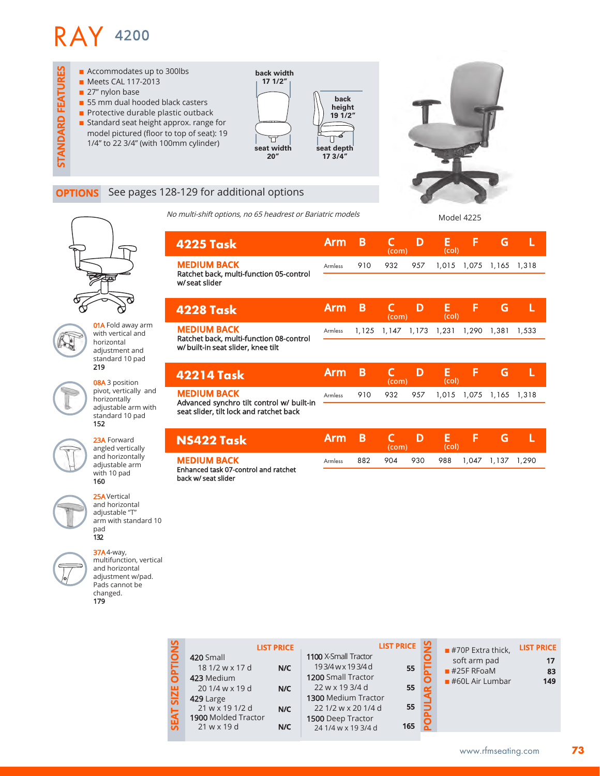

### **OPTIONS** See pages 128-129 for additional options

No multi-shift options, no 65 headrest or Bariatric models

Model 4225



**01A** Fold away arm with vertical and horizontal adjustment and standard 10 pad 219

08A 3 position pivot, vertically and horizontally adjustable arm with standard 10 pad 152



23A Forward angled vertically and horizontally adjustable arm with 10 pad 160

25AVertical and horizontal adjustable "T" arm with standard 10 pad 132

37A4-way, multifunction, vertical and horizontal adjustment w/pad. Pads cannot be changed. 179

| 4225 Task                                                       | <b>Arm</b> | В     | (com)       | D   | Е<br>(col) | F     | G     |       |
|-----------------------------------------------------------------|------------|-------|-------------|-----|------------|-------|-------|-------|
| <b>MEDIUM BACK</b><br>Ratchet back, multi-function 05-control   | Armless    | 910   | 932         | 957 | 1,015      | 1,075 | 1,165 | 1,318 |
| w/seat slider                                                   |            |       |             |     |            |       |       |       |
| <b>4228 Task</b>                                                | <b>Arm</b> | Β     | C<br>(com)  | D   | E<br>(col) | F     | G     |       |
| <b>MEDIUM BACK</b><br>Ratchet back, multi-function 08-control   | Armless    | 1,125 | 1,147 1,173 |     | 1,231      | 1,290 | 1,381 | 1,533 |
| w/ built-in seat slider, knee tilt                              |            |       |             |     |            |       |       |       |
| 42214 Task                                                      | <b>Arm</b> | B     | C<br>(com)  | D   | Е<br>(col) | F     | G     |       |
| <b>MEDIUM BACK</b><br>Advanced synchro tilt control w/ built-in | Armless    | 910   | 932         | 957 | 1,015      | 1,075 | 1,165 | 1,318 |
| seat slider, tilt lock and ratchet back                         |            |       |             |     |            |       |       |       |
| NS422 Task                                                      | Arm        | В     | lmm         | D   | E<br>(25)  | F     | G     |       |

Armless

**(com) (col)**

882 904 930 988 1,047 1,137 1,290

Enhanced task 07-control and ratchet back w/ seat slider **MEDIUM BACK** 

| SNOI<br><b>LIST PRICE</b><br>1100 X-Small Tractor<br>420 Small<br>193/4wx193/4d<br>눕<br>18 1/2 w x 17 d<br>N/C<br>1200 Small Tractor<br>423 Medium<br>22 w x 19 3/4 d<br>20 1/4 w x 19 d<br><b>SIZE</b><br>N/C<br>1300 Medium Tractor<br>429 Large<br>21 w x 19 1/2 d<br>22 1/2 w x 20 1/4 d<br>N/C<br><b>SEAT</b><br>1900 Molded Tractor<br>1500 Deep Tractor<br>$21$ w x 19 d<br>N/C<br>24 1/4 w x 19 3/4 d | LIST PRICE   9<br>55<br>55<br>55<br>165 |  | $\blacksquare$ #70P Extra thick,<br>soft arm pad<br>$#25F$ RFoaM<br>$#60L$ Air Lumbar | <b>LIST PRICE</b><br>17<br>83<br>149 |
|---------------------------------------------------------------------------------------------------------------------------------------------------------------------------------------------------------------------------------------------------------------------------------------------------------------------------------------------------------------------------------------------------------------|-----------------------------------------|--|---------------------------------------------------------------------------------------|--------------------------------------|
|---------------------------------------------------------------------------------------------------------------------------------------------------------------------------------------------------------------------------------------------------------------------------------------------------------------------------------------------------------------------------------------------------------------|-----------------------------------------|--|---------------------------------------------------------------------------------------|--------------------------------------|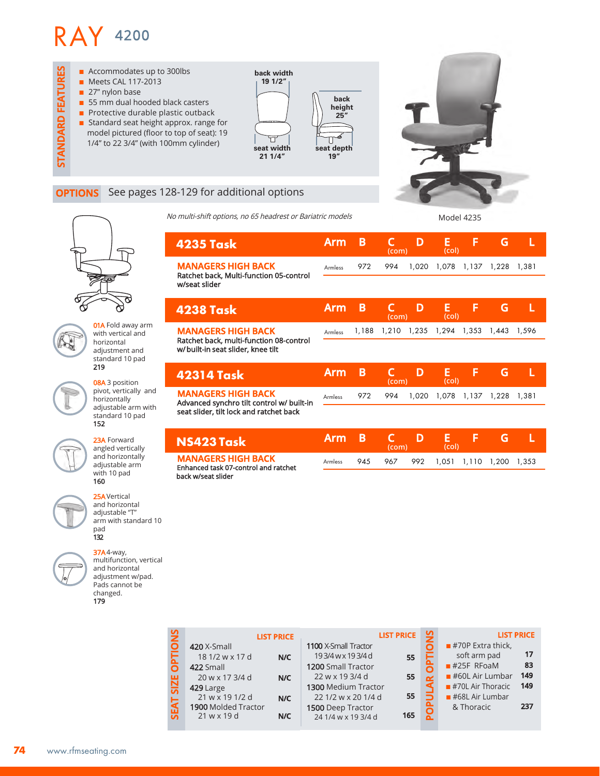

### **OPTIONS** See pages 128-129 for additional options

No multi-shift options, no 65 headrest or Bariatric models Model 4235

| q | $\varphi$ |
|---|-----------|

01A Fold away arm with vertical and horizontal adjustment and standard 10 pad 219

08A 3 position pivot, vertically and horizontally adjustable arm with standard 10 pad 152



23A Forward angled vertically and horizontally adjustable arm with 10 pad 160

25AVertical and horizontal adjustable "T" arm with standard 10 pad 132

37A4-way, multifunction, vertical and horizontal adjustment w/pad. Pads cannot be changed. 179

| 4235 Task                                                                    | Arm            | B     | (com) | D           | Е<br>(col) |             | G     |       |  |
|------------------------------------------------------------------------------|----------------|-------|-------|-------------|------------|-------------|-------|-------|--|
| <b>MANAGERS HIGH BACK</b><br>Ratchet back, Multi-function 05-control         | Armless        | 972   | 994   | 1,020       | 1,078      | 1,137       | 1,228 | 1.381 |  |
| w/seat slider                                                                |                |       |       |             |            |             |       |       |  |
| <b>4238 Task</b>                                                             | Arm            | B     | (com) | D           | E<br>(col) | F           | G     | L     |  |
| <b>MANAGERS HIGH BACK</b>                                                    | <b>Armless</b> | 1,188 | 1,210 | 1,235 1,294 |            | 1,353 1,443 |       | 1,596 |  |
| Ratchet back, multi-function 08-control<br>w/built-in seat slider, knee tilt |                |       |       |             |            |             |       |       |  |
| <b>42314 Task</b>                                                            | Arm            | В     | (com) | D           | Е<br>(col) | F           | G     |       |  |
| <b>MANAGERS HIGH BACK</b><br>Advanced synchro tilt control w/ built-in       | Armless        | 972   | 994   | 1,020       | 1,078      | 1,137       | 1,228 | 1,381 |  |
| seat slider, tilt lock and ratchet back                                      |                |       |       |             |            |             |       |       |  |
|                                                                              |                |       |       |             |            |             |       |       |  |

**NS423 Task MANAGERS HIGH BACK**  Enhanced task 07-control and ratchet back w/seat slider

|         |     | com) |                             |  |  |
|---------|-----|------|-----------------------------|--|--|
| Armless | 945 | 967  | 992 1,051 1,110 1,200 1,353 |  |  |

|   |                     | <b>LIST PRICE</b> |                      | <b>LIST PRICE</b> |   | <b>LIST PRICE</b>   |     |
|---|---------------------|-------------------|----------------------|-------------------|---|---------------------|-----|
|   | 420 X-Small         |                   | 1100 X-Small Tractor |                   |   | $#70P$ Extra thick, |     |
|   | 18 1/2 w x 17 d     | N/C               | 193/4wx193/4d        | 55                |   | soft arm pad        | 17  |
|   | 422 Small           |                   | 1200 Small Tractor   |                   |   | $#25F$ RFoaM        | 83  |
| 변 | 20 w x 17 3/4 d     | N/C               | 22 w x 19 3/4 d      | 55                |   | $#60L$ Air Lumbar   | 149 |
| ភ | $429$ Large         |                   | 1300 Medium Tractor  |                   |   | $#70L$ Air Thoracic | 149 |
|   | 21 w x 19 1/2 d     | N/C               | 22 1/2 w x 20 1/4 d  | 55                |   | $#68L$ Air Lumbar   |     |
|   | 1900 Molded Tractor |                   | 1500 Deep Tractor    |                   | O | & Thoracic          | 237 |
|   | $21$ w x 19 d       | N/C               | 24 1/4 w x 19 3/4 d  | 165               |   |                     |     |
|   |                     |                   |                      |                   |   |                     |     |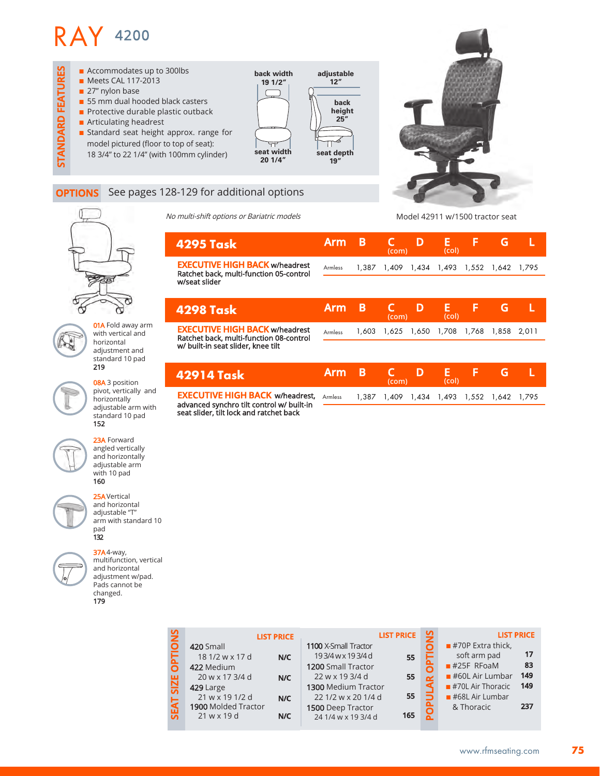

#### **OPTIONS** See pages 128-129 for additional options

No multi-shift options or Bariatric models

Model 42911 w/1500 tractor seat

|                                  | <b>4295 Task</b>                                                                                  | <b>Arm</b>     | B     | (com)       | D | E<br>(col)        | F     | G           |  |
|----------------------------------|---------------------------------------------------------------------------------------------------|----------------|-------|-------------|---|-------------------|-------|-------------|--|
|                                  | <b>EXECUTIVE HIGH BACK w/headrest</b><br>Ratchet back, multi-function 05-control<br>w/seat slider | Armless        |       | 1,387 1,409 |   | 1,434 1,493 1,552 |       | 1,642 1,795 |  |
|                                  |                                                                                                   |                |       |             |   |                   |       |             |  |
|                                  | <b>4298 Task</b>                                                                                  | <b>Arm</b>     | B     | (com)       | D | E<br>(col)        | F     | G           |  |
| d away arm<br>rtical and<br>าtal | <b>EXECUTIVE HIGH BACK w/headrest</b><br>Ratchet back, multi-function 08-control                  | Armless        | 1,603 | 1,625       |   | 1,650 1,708       | 1,768 | 1,858 2,011 |  |
| nent and<br>rd 10 pad            | w/ built-in seat slider, knee tilt                                                                |                |       |             |   |                   |       |             |  |
| osition                          | <b>42914 Task</b>                                                                                 | Arm            | B     | (com)       | D | E<br>(col)        | F     | G           |  |
| ertically and<br>าtally          | <b>EXECUTIVE HIGH BACK w/headrest,</b><br>advanced synchro tilt control w/ built-in               | <b>Armless</b> |       | 1.387 1.409 |   | 1,434 1,493 1,552 |       | 1,642 1,795 |  |
| ıble arm with<br>rd 10 pad       | seat slider, tilt lock and ratchet back                                                           |                |       |             |   |                   |       |             |  |
|                                  |                                                                                                   |                |       |             |   |                   |       |             |  |



01A Fol with ve horizor adjustn standa 219

> 08A 3 p pivot, v horizor adjusta standar 152



23A Forward angled vertically and horizontally adjustable arm with 10 pad 160

25AVertical and horizontal adjustable "T" arm with standard 10 pad 132

37A4-way, multifunction, vertical and horizontal adjustment w/pad. Pads cannot be changed. 179

**SEAT SIZE OPTIONS LIST PRICE LIST PRICE LIST PRICE POPULAR OPTIONS SEAT SIZE OPTION** 1100 X-Small Tractor  $\blacksquare$  #70P Extra thick, 420 Small ō **17** soft arm pad 18 1/2 w x 17 d **N/C** 193/4wx193/4d **55**  $#25F$  RFoaM **83** 1200 Small Tractor 422 Medium Ċ 22 w x 19 3/4 d 20 w x 17 3/4 d **N/C 55 149** a #60L Air Lumbar  $\blacksquare$  #70L Air Thoracic **149** 1300 Medium Tractor 429 Large **55** 21 w x 19 1/2 d 22 1/2 w x 20 1/4 d  $#68L$  Air Lumbar **N/C 237** 1900 Molded Tractor & Thoracic 1500 Deep Tractor ç 21 w x 19 d 24 1/4 w x 19 3/4 d **N/C 165**